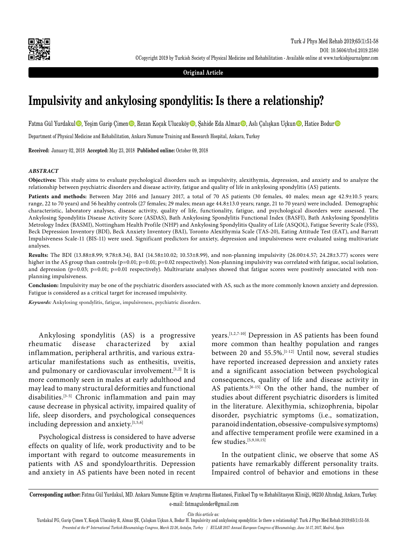

**Original Article**

# **Impulsivity and ankylosing spondylitis: Is there a relationship?**

Fatma Gül Yurdakul $\bullet$ , Yeşim Garip Çimen $\bullet$ , Rezan Koçak Ulucaköy $\bullet$ , Şahide Eda Almaz $\bullet$ , Aslı Çalışkan Uçkun $\bullet$ , Hatice Bodur $\bullet$ 

Department of Physical Medicine and Rehabilitation, Ankara Numune Training and Research Hospital, Ankara, Turkey

**Received:** January 02, 2018 **Accepted:** May 23, 2018 **Published online:** October 09, 2018

#### *ABSTRACT*

**Objectives:** This study aims to evaluate psychological disorders such as impulsivity, alexithymia, depression, and anxiety and to analyze the relationship between psychiatric disorders and disease activity, fatigue and quality of life in ankylosing spondylitis (AS) patients.

Patients and methods: Between May 2016 and January 2017, a total of 70 AS patients (30 females, 40 males; mean age 42.9±10.5 years; range, 22 to 70 years) and 56 healthy controls (27 females; 29 males; mean age 44.8±13.0 years; range, 21 to 70 years) were included. Demographic characteristic, laboratory analyses, disease activity, quality of life, functionality, fatigue, and psychological disorders were assessed. The Ankylosing Spondylitis Disease Activity Score (ASDAS), Bath Ankylosing Spondylitis Functional Index (BASFI), Bath Ankylosing Spondylitis Metrology Index (BASMI), Nottingham Health Profile (NHP) and Ankylosing Spondylitis Quality of Life (ASQOL), Fatigue Severity Scale (FSS), Beck Depression Inventory (BDI), Beck Anxiety Inventory (BAI), Toronto Alexithymia Scale (TAS-20), Eating Attitude Test (EAT), and Barratt Impulsiveness Scale-11 (BIS-11) were used. Significant predictors for anxiety, depression and impulsiveness were evaluated using multivariate analyses.

**Results:** The BDI (13.88±8.99; 9.78±8.34), BAI (14.58±10.02; 10.53±8.99), and non-planning impulsivity (26.00±4.57; 24.28±3.77) scores were higher in the AS group than controls (p=0.01; p=0.01; p=0.02 respectively). Non-planning impulsivity was correlated with fatigue, social isolation, and depression (p=0.03; p=0.01; p=0.01 respectively). Multivariate analyses showed that fatigue scores were positively associated with nonplanning impulsiveness.

**Conclusion:** Impulsivity may be one of the psychiatric disorders associated with AS, such as the more commonly known anxiety and depression. Fatigue is considered as a critical target for increased impulsivity.

*Keywords:* Ankylosing spondylitis, fatigue, impulsiveness, psychiatric disorders.

Ankylosing spondylitis (AS) is a progressive rheumatic disease characterized by axial inflammation, peripheral arthritis, and various extraarticular manifestations such as enthesitis, uveitis, and pulmonary or cardiovascular involvement.<sup>[1,2]</sup> It is more commonly seen in males at early adulthood and may lead to many structural deformities and functional disabilities.[3-5] Chronic inflammation and pain may cause decrease in physical activity, impaired quality of life, sleep disorders, and psychological consequences including depression and anxiety.[1,5,6]

Psychological distress is considered to have adverse effects on quality of life, work productivity and to be important with regard to outcome measurements in patients with AS and spondyloarthritis. Depression and anxiety in AS patients have been noted in recent years.[1,2,7-10] Depression in AS patients has been found more common than healthy population and ranges between 20 and 55.5%.[1-12] Until now, several studies have reported increased depression and anxiety rates and a significant association between psychological consequences, quality of life and disease activity in AS patients.<sup>[6-15]</sup> On the other hand, the number of studies about different psychiatric disorders is limited in the literature. Alexithymia, schizophrenia, bipolar disorder, psychiatric symptoms (i.e., somatization, paranoid indentation, obsessive-compulsive symptoms) and affective temperament profile were examined in a few studies.[5,9,10,15]

In the outpatient clinic, we observe that some AS patients have remarkably different personality traits. Impaired control of behavior and emotions in these

*Cite this article as:*

Yurdakul FG, Garip Çimen Y, Koçak Ulucaköy R, Almaz ŞE, Çalışkan Uçkun A, Bodur H. Impulsivity and ankylosing spondylitis: Is there a relationship?. Turk J Phys Med Rehab 2019;65(1):51-58. *Presented at the 8th International Turkish Rheumatology Congress, March 22-26, Antalya, Turkey / EULAR 2017: Annual European Congress of Rheumatology, June 14-17, 2017, Madrid, Spain*

**Corresponding author:** Fatma Gül Yurdakul, MD. Ankara Numune Eğitim ve Araştırma Hastanesi, Fiziksel Tıp ve Rehabilitasyon Kliniği, 06230 Altındağ, Ankara, Turkey. e-mail: fatmagulonder@gmail.com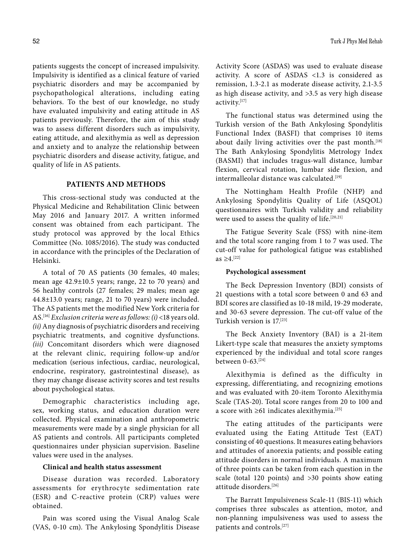patients suggests the concept of increased impulsivity. Impulsivity is identified as a clinical feature of varied psychiatric disorders and may be accompanied by psychopathological alterations, including eating behaviors. To the best of our knowledge, no study have evaluated impulsivity and eating attitude in AS patients previously. Therefore, the aim of this study was to assess different disorders such as impulsivity, eating attitude, and alexithymia as well as depression and anxiety and to analyze the relationship between psychiatric disorders and disease activity, fatigue, and quality of life in AS patients.

# **PATIENTS AND METHODS**

This cross-sectional study was conducted at the Physical Medicine and Rehabilitation Clinic between May 2016 and January 2017. A written informed consent was obtained from each participant. The study protocol was approved by the local Ethics Committee (No. 1085/2016). The study was conducted in accordance with the principles of the Declaration of Helsinki.

A total of 70 AS patients (30 females, 40 males; mean age 42.9±10.5 years; range, 22 to 70 years) and 56 healthy controls (27 females; 29 males; mean age 44.8±13.0 years; range, 21 to 70 years) were included. The AS patients met the modified New York criteria for AS.[16] *Exclusion criteria were as follows:(i)* <18 years old. *(ii)* Any diagnosis of psychiatric disorders and receiving psychiatric treatments, and cognitive dysfunctions. *(iii)* Concomitant disorders which were diagnosed at the relevant clinic, requiring follow-up and/or medication (serious infectious, cardiac, neurological, endocrine, respiratory, gastrointestinal disease), as they may change disease activity scores and test results about psychological status.

Demographic characteristics including age, sex, working status, and education duration were collected. Physical examination and anthropometric measurements were made by a single physician for all AS patients and controls. All participants completed questionnaires under physician supervision. Baseline values were used in the analyses.

## **Clinical and health status assessment**

Disease duration was recorded. Laboratory assessments for erythrocyte sedimentation rate (ESR) and C-reactive protein (CRP) values were obtained.

Pain was scored using the Visual Analog Scale (VAS, 0-10 cm). The Ankylosing Spondylitis Disease Activity Score (ASDAS) was used to evaluate disease activity. A score of ASDAS <1.3 is considered as remission, 1.3-2.1 as moderate disease activity, 2.1-3.5 as high disease activity, and >3.5 as very high disease activity.[17]

The functional status was determined using the Turkish version of the Bath Ankylosing Spondylitis Functional Index (BASFI) that comprises 10 items about daily living activities over the past month.<sup>[18]</sup> The Bath Ankylosing Spondylitis Metrology Index (BASMI) that includes tragus-wall distance, lumbar flexion, cervical rotation, lumbar side flexion, and intermalleolar distance was calculated.<sup>[19]</sup>

The Nottingham Health Profile (NHP) and Ankylosing Spondylitis Quality of Life (ASQOL) questionnaires with Turkish validity and reliability were used to assess the quality of life.<sup>[20,21]</sup>

The Fatigue Severity Scale (FSS) with nine-item and the total score ranging from 1 to 7 was used. The cut-off value for pathological fatigue was established  $as ≥ 4.$ <sup>[22]</sup>

## **Psychological assessment**

The Beck Depression Inventory (BDI) consists of 21 questions with a total score between 0 and 63 and BDI scores are classified as 10-18 mild, 19-29 moderate, and 30-63 severe depression. The cut-off value of the Turkish version is 17.[23]

The Beck Anxiety Inventory (BAI) is a 21-item Likert-type scale that measures the anxiety symptoms experienced by the individual and total score ranges between 0-63.[24]

Alexithymia is defined as the difficulty in expressing, differentiating, and recognizing emotions and was evaluated with 20-item Toronto Alexithymia Scale (TAS-20). Total score ranges from 20 to 100 and a score with ≥61 indicates alexithymia.[25]

The eating attitudes of the participants were evaluated using the Eating Attitude Test (EAT) consisting of 40 questions. It measures eating behaviors and attitudes of anorexia patients; and possible eating attitude disorders in normal individuals. A maximum of three points can be taken from each question in the scale (total 120 points) and >30 points show eating attitude disorders.[26]

The Barratt Impulsiveness Scale-11 (BIS-11) which comprises three subscales as attention, motor, and non-planning impulsiveness was used to assess the patients and controls.[27]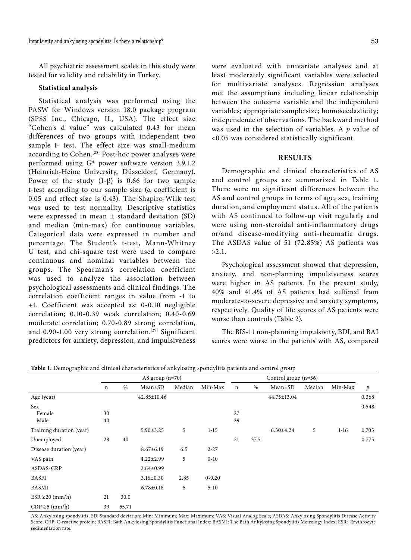All psychiatric assessment scales in this study were tested for validity and reliability in Turkey.

#### **Statistical analysis**

Statistical analysis was performed using the PASW for Windows version 18.0 package program (SPSS Inc., Chicago, IL, USA). The effect size "Cohen's d value" was calculated 0.43 for mean differences of two groups with independent two sample t- test. The effect size was small-medium according to Cohen.<sup>[28]</sup> Post-hoc power analyses were performed using G\* power software version 3.9.1.2 (Heinrich-Heine University, Düsseldorf, Germany). Power of the study  $(1-\beta)$  is 0.66 for two sample t-test according to our sample size (α coefficient is 0.05 and effect size is 0.43). The Shapiro-Wilk test was used to test normality. Descriptive statistics were expressed in mean ± standard deviation (SD) and median (min-max) for continuous variables. Categorical data were expressed in number and percentage. The Student's t-test, Mann-Whitney U test, and chi-square test were used to compare continuous and nominal variables between the groups. The Spearman's correlation coefficient was used to analyze the association between psychological assessments and clinical findings. The correlation coefficient ranges in value from -1 to +1. Coefficient was accepted as: 0-0.10 negligible correlation; 0.10-0.39 weak correlation; 0.40-0.69 moderate correlation; 0.70-0.89 strong correlation, and 0.90-1.00 very strong correlation.<sup>[29]</sup> Significant predictors for anxiety, depression, and impulsiveness

were evaluated with univariate analyses and at least moderately significant variables were selected for multivariate analyses. Regression analyses met the assumptions including linear relationship between the outcome variable and the independent variables; appropriate sample size; homoscedasticity; independence of observations. The backward method was used in the selection of variables. A *p* value of <0.05 was considered statistically significant.

# **RESULTS**

Demographic and clinical characteristics of AS and control groups are summarized in Table 1. There were no significant differences between the AS and control groups in terms of age, sex, training duration, and employment status. All of the patients with AS continued to follow-up visit regularly and were using non-steroidal anti-inflammatory drugs or/and disease-modifying anti-rheumatic drugs. The ASDAS value of 51 (72.85%) AS patients was >2.1.

Psychological assessment showed that depression, anxiety, and non-planning impulsiveness scores were higher in AS patients. In the present study, 40% and 41.4% of AS patients had suffered from moderate-to-severe depressive and anxiety symptoms, respectively. Quality of life scores of AS patients were worse than controls (Table 2).

The BIS-11 non-planning impulsivity, BDI, and BAI scores were worse in the patients with AS, compared

|                          |             |       | AS group $(n=70)$ |        |            | Control group $(n=56)$ |      |                 |        |         |       |
|--------------------------|-------------|-------|-------------------|--------|------------|------------------------|------|-----------------|--------|---------|-------|
|                          | $\mathbf n$ | $\%$  | $Mean \pm SD$     | Median | Min-Max    | $\mathbf n$            | %    | $Mean \pm SD$   | Median | Min-Max | p     |
| Age (year)               |             |       | 42.85±10.46       |        |            |                        |      | 44.75±13.04     |        |         | 0.368 |
| Sex<br>Female<br>Male    | 30<br>40    |       |                   |        |            | 27<br>29               |      |                 |        |         | 0.548 |
| Training duration (year) |             |       | $5.90 \pm 3.25$   | 5      | $1 - 15$   |                        |      | $6.30 \pm 4.24$ | 5      | $1-16$  | 0.705 |
| Unemployed               | 28          | 40    |                   |        |            | 21                     | 37.5 |                 |        |         | 0.775 |
| Disease duration (year)  |             |       | $8.67 \pm 6.19$   | 6.5    | $2 - 27$   |                        |      |                 |        |         |       |
| VAS pain                 |             |       | $4.22 \pm 2.99$   | 5      | $0 - 10$   |                        |      |                 |        |         |       |
| ASDAS-CRP                |             |       | $2.64 \pm 0.99$   |        |            |                        |      |                 |        |         |       |
| <b>BASFI</b>             |             |       | $3.16 \pm 0.30$   | 2.85   | $0 - 9.20$ |                        |      |                 |        |         |       |
| <b>BASMI</b>             |             |       | $6.78 \pm 0.18$   | 6      | $5-10$     |                        |      |                 |        |         |       |
| $ESR \geq 20$ (mm/h)     | 21          | 30.0  |                   |        |            |                        |      |                 |        |         |       |
| $CRP \ge 5$ (mm/h)       | 39          | 55.71 |                   |        |            |                        |      |                 |        |         |       |

**Table 1.** Demographic and clinical characteristics of ankylosing spondylitis patients and control group

AS: Ankylosing spondylitis; SD: Standard deviation; Min: Minimum; Max: Maximum; VAS: Visual Analog Scale; ASDAS: Ankylosing Spondylitis Disease Activity Score; CRP: C-reactive protein; BASFI: Bath Ankylosing Spondylitis Functional Index; BASMI: The Bath Ankylosing Spondylitis Metrology Index; ESR: Erythrocyte sedimentation rate.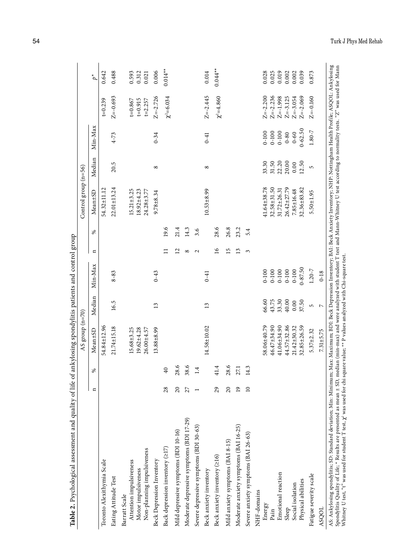| 16.5<br>54.84±12.96<br>21.74±15.18<br>15.68±3.25<br>Mean±SD<br>ళ<br>$\mathbf{a}$<br>Toronto Alexithymia Scale<br>Attention impulsiveness<br>Eating Attitude Test<br>Barratt Scale | Median |             |                   |      | Control group (n=56)                                   |                |             |                                           |                         |
|-----------------------------------------------------------------------------------------------------------------------------------------------------------------------------------|--------|-------------|-------------------|------|--------------------------------------------------------|----------------|-------------|-------------------------------------------|-------------------------|
|                                                                                                                                                                                   |        | Min-Max     | $\mathbf{a}$      | ళ    | Mean±SD                                                | Median         | Min-Max     |                                           | $\vec{p}^*$             |
|                                                                                                                                                                                   |        |             |                   |      | 54.32±11.12                                            |                |             | $t = 0.239$                               | 0.642                   |
|                                                                                                                                                                                   |        | $8 - 83$    |                   |      | $22.01 \pm 13.24$                                      | 20.5           | $4 - 73$    | $Z=-0.693$                                | 0.488                   |
| $19.62 + 4.28$<br>$26.00 + 4.57$<br>Non-planning impulsiveness<br>Motor impulsiveness                                                                                             |        |             |                   |      | $15.21 \pm 3.25$<br>$18.92 \pm 4.23$<br>$24.28 + 3.77$ |                |             | $t = 0.867$<br>$t = 0.915$<br>$t = 2.257$ | 0.593<br>0.312<br>0.021 |
| 13<br>$13.88 + 8.99$<br><b>Beck Depression Inventory</b>                                                                                                                          |        | $0 - 43$    |                   |      | $9.78 + 8.34$                                          | ${}^{\circ}$   | $0 - 34$    | $Z = -2.726$                              | 0.006                   |
| 40<br>28<br>Back depression inventory (217)                                                                                                                                       |        |             | Ξ                 | 19.6 |                                                        |                |             | $\chi^2 = 6.034$                          | $0.014**$               |
| 28.6<br>20<br>Mild depressive symptoms (BDI 10-16)                                                                                                                                |        |             | $\Xi$             | 21.4 |                                                        |                |             |                                           |                         |
| 38.6<br>27<br>Moderate depressive symptoms (BDI 17-29)                                                                                                                            |        |             | ∞                 | 14.3 |                                                        |                |             |                                           |                         |
| 1.4<br>Severe depressive symptoms (BDI 30-63)                                                                                                                                     |        |             | $\mathbf{\Omega}$ | 3.6  |                                                        |                |             |                                           |                         |
| 13<br>14.58±10.02<br>Beck anxiety inventory                                                                                                                                       |        | $0 - 41$    |                   |      | $10.53 + 8.99$                                         | $^{\circ}$     | $0 - 41$    | $Z = -2.445$                              | 0.014                   |
| 41.4<br>29<br>Beck anxiety inventory (≥16)                                                                                                                                        |        |             | $\geq$            | 28.6 |                                                        |                |             | $\chi^2 = 4.860$                          | $0.044**$               |
| 28.6<br>20<br>Mild anxiety symptoms (BAI 8-15)                                                                                                                                    |        |             | 15                | 26.8 |                                                        |                |             |                                           |                         |
| 27.1<br>$\overline{19}$<br>Moderate anxiety symptoms (BAI 16-25)                                                                                                                  |        |             | $\mathbf{r}$      | 23.2 |                                                        |                |             |                                           |                         |
| 14.3<br>$\overline{10}$<br>Severe anxiety symptoms (BAI 26-63)                                                                                                                    |        |             | 3                 | 5.4  |                                                        |                |             |                                           |                         |
| NHF-domains                                                                                                                                                                       |        |             |                   |      |                                                        |                |             |                                           |                         |
| 58.06±40.79<br>Energy                                                                                                                                                             | 66.60  | $0 - 100$   |                   |      | 41.64±38.78                                            | 33.30          | $0 - 100$   | $Z = -2.200$                              | 0.028                   |
| 46.47±34.90<br>Pain                                                                                                                                                               | 43.75  | $0 - 100$   |                   |      | 32.58±31.50                                            | 31.50          | $0 - 100$   | $Z=-2.236$                                | 0.025                   |
| $41.06 \pm 34.90$<br>Emotional reaction                                                                                                                                           | 33.30  | $0 - 100$   |                   |      | 31.72±26.31                                            | 22.20          | $0 - 100$   | $Z=-1.998$                                | 0.019                   |
| 44.57±32.86<br>Sleep                                                                                                                                                              | 40.00  | $0 - 100$   |                   |      | 26.42±27.79                                            | 20.00          | $0 - 80$    | $Z=-3.125$                                | 0.002                   |
| 0.00<br>$21.42 \pm 30.32$<br>Social isolation                                                                                                                                     |        | $0 - 100$   |                   |      | $7.85 \pm 16.48$                                       | 0.00           | $0 - 60$    | $Z = -3.054$                              | 0.002                   |
| 37.50<br>32.85±26.59<br>Physical abilities                                                                                                                                        |        | $0 - 87.50$ |                   |      | 32.36±83.82                                            | 12.50          | $0 - 62.50$ | $Z=-2.069$                                | 0.039                   |
| 5<br>$5.37 + 2.32$<br>Fatigue severity scale                                                                                                                                      |        | $1.20 - 7$  |                   |      | $5.50 + 1.95$                                          | $\overline{5}$ | 1.80-7      | $Z = -0.160$                              | 0.873                   |
| $\triangleright$<br>$7.31 + 5.75$<br>ASQOL                                                                                                                                        |        | $0 - 18$    |                   |      |                                                        |                |             |                                           |                         |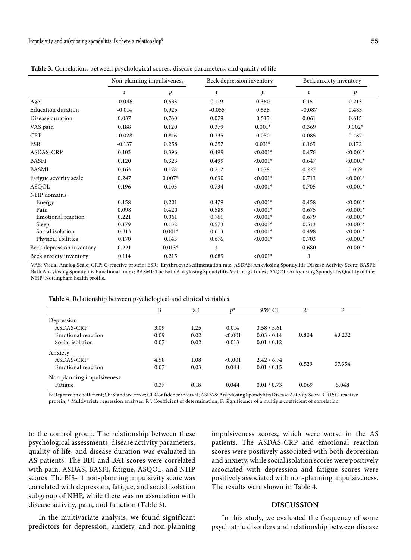|                           |          | Non-planning impulsiveness |              | Beck depression inventory | Beck anxiety inventory |            |
|---------------------------|----------|----------------------------|--------------|---------------------------|------------------------|------------|
|                           | r        | p                          | r            | $\mathcal{P}$             | r                      | p          |
| Age                       | $-0.046$ | 0.633                      | 0.119        | 0.360                     | 0.151                  | 0.213      |
| <b>Education duration</b> | $-0,014$ | 0,925                      | $-0,055$     | 0,638                     | $-0,087$               | 0,483      |
| Disease duration          | 0.037    | 0.760                      | 0.079        | 0.515                     | 0.061                  | 0.615      |
| VAS pain                  | 0.188    | 0.120                      | 0.379        | $0.001*$                  | 0.369                  | $0.002*$   |
| <b>CRP</b>                | $-0.028$ | 0.816                      | 0.235        | 0.050                     | 0.085                  | 0.487      |
| <b>ESR</b>                | $-0.137$ | 0.258                      | 0.257        | $0.031*$                  | 0.165                  | 0.172      |
| ASDAS-CRP                 | 0.103    | 0.396                      | 0.499        | $< 0.001*$                | 0.476                  | $< 0.001*$ |
| <b>BASFI</b>              | 0.120    | 0.323                      | 0.499        | $< 0.001*$                | 0.647                  | $< 0.001*$ |
| <b>BASMI</b>              | 0.163    | 0.178                      | 0.212        | 0.078                     | 0.227                  | 0.059      |
| Fatigue severity scale    | 0.247    | $0.007*$                   | 0.630        | $< 0.001*$                | 0.713                  | $< 0.001*$ |
| ASQOL                     | 0.196    | 0.103                      | 0.734        | $< 0.001*$                | 0.705                  | $< 0.001*$ |
| NHP domains               |          |                            |              |                           |                        |            |
| Energy                    | 0.158    | 0.201                      | 0.479        | $< 0.001*$                | 0.458                  | $< 0.001*$ |
| Pain                      | 0.098    | 0.420                      | 0.589        | $< 0.001*$                | 0.675                  | $< 0.001*$ |
| Emotional reaction        | 0.221    | 0.061                      | 0.761        | $< 0.001*$                | 0.679                  | $< 0.001*$ |
| Sleep                     | 0.179    | 0.132                      | 0.573        | $< 0.001*$                | 0.513                  | $< 0.001*$ |
| Social isolation          | 0.313    | $0.001*$                   | 0.613        | $< 0.001*$                | 0.498                  | $< 0.001*$ |
| Physical abilities        | 0.170    | 0.143                      | 0.676        | $< 0.001*$                | 0.703                  | $< 0.001*$ |
| Beck depression inventory | 0.221    | $0.013*$                   | $\mathbf{1}$ |                           | 0.680                  | $< 0.001*$ |
| Beck anxiety inventory    | 0.114    | 0.215                      | 0.689        | $< 0.001*$                | 1                      |            |

**Table 3.** Correlations between psychological scores, disease parameters, and quality of life

VAS: Visual Analog Scale; CRP: C-reactive protein; ESR: Erythrocyte sedimentation rate; ASDAS: Ankylosing Spondylitis Disease Activity Score; BASFI: Bath Ankylosing Spondylitis Functional Index; BASMI: The Bath Ankylosing Spondylitis Metrology Index; ASQOL: Ankylosing Spondylitis Quality of Life; NHP: Nottingham health profile.

**Table 4.** Relationship between psychological and clinical variables

|                            | B    | SE   | $p^*$   | 95% CI      | $R^2$ | F      |
|----------------------------|------|------|---------|-------------|-------|--------|
| Depression                 |      |      |         |             |       |        |
| ASDAS-CRP                  | 3.09 | 1.25 | 0.014   | 0.58 / 5.61 |       |        |
| Emotional reaction         | 0.09 | 0.02 | < 0.001 | 0.03 / 0.14 | 0.804 | 40.232 |
| Social isolation           | 0.07 | 0.02 | 0.013   | 0.01 / 0.12 |       |        |
| Anxiety                    |      |      |         |             |       |        |
| ASDAS-CRP                  | 4.58 | 1.08 | < 0.001 | 2.42 / 6.74 |       |        |
| Emotional reaction         | 0.07 | 0.03 | 0.044   | 0.01 / 0.15 | 0.529 | 37.354 |
| Non planning impulsiveness |      |      |         |             |       |        |
| Fatigue                    | 0.37 | 0.18 | 0.044   | 0.01 / 0.73 | 0.069 | 5.048  |

B: Regression coefficient; SE: Standard error; Cl: Confidence interval; ASDAS: Ankylosing Spondylitis Disease Activity Score; CRP: C-reactive protein; \* Multivariate regression analyses. R<sup>2</sup>: Coefficient of determination; F: Significance of a multiple coefficient of correlation.

to the control group. The relationship between these psychological assessments, disease activity parameters, quality of life, and disease duration was evaluated in AS patients. The BDI and BAI scores were correlated with pain, ASDAS, BASFI, fatigue, ASQOL, and NHP scores. The BIS-11 non-planning impulsivity score was correlated with depression, fatigue, and social isolation subgroup of NHP, while there was no association with disease activity, pain, and function (Table 3).

impulsiveness scores, which were worse in the AS patients. The ASDAS-CRP and emotional reaction scores were positively associated with both depression and anxiety, while social isolation scores were positively associated with depression and fatigue scores were positively associated with non-planning impulsiveness. The results were shown in Table 4.

## **DISCUSSION**

In the multivariate analysis, we found significant predictors for depression, anxiety, and non-planning

In this study, we evaluated the frequency of some psychiatric disorders and relationship between disease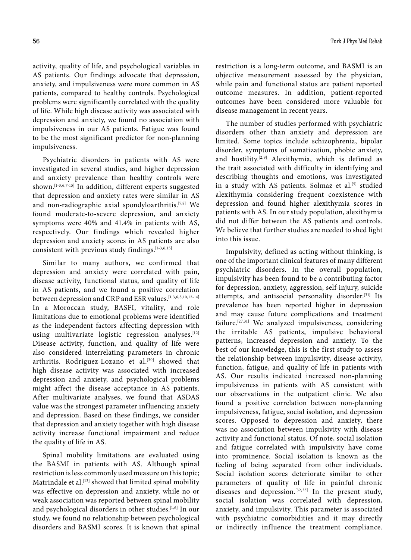activity, quality of life, and psychological variables in AS patients. Our findings advocate that depression, anxiety, and impulsiveness were more common in AS patients, compared to healthy controls. Psychological problems were significantly correlated with the quality of life. While high disease activity was associated with depression and anxiety, we found no association with impulsiveness in our AS patients. Fatigue was found to be the most significant predictor for non-planning impulsiveness.

Psychiatric disorders in patients with AS were investigated in several studies, and higher depression and anxiety prevalence than healthy controls were shown.<sup>[1-3,6,7-15]</sup> In addition, different experts suggested that depression and anxiety rates were similar in AS and non-radiographic axial spondyloarthritis.[7,8] We found moderate-to-severe depression, and anxiety symptoms were 40% and 41.4% in patients with AS, respectively. Our findings which revealed higher depression and anxiety scores in AS patients are also consistent with previous study findings.[1-3,6,15]

Similar to many authors, we confirmed that depression and anxiety were correlated with pain, disease activity, functional status, and quality of life in AS patients, and we found a positive correlation between depression and CRP and ESR values.[1,3,6,8,10,12-14] In a Moroccan study, BASFI, vitality, and role limitations due to emotional problems were identified as the independent factors affecting depression with using multivariate logistic regression analyses.<sup>[12]</sup> Disease activity, function, and quality of life were also considered interrelating parameters in chronic arthritis. Rodriguez-Lozano et al.<sup>[30]</sup> showed that high disease activity was associated with increased depression and anxiety, and psychological problems might affect the disease acceptance in AS patients. After multivariate analyses, we found that ASDAS value was the strongest parameter influencing anxiety and depression. Based on these findings, we consider that depression and anxiety together with high disease activity increase functional impairment and reduce the quality of life in AS.

Spinal mobility limitations are evaluated using the BASMI in patients with AS. Although spinal restriction is less commonly used measure on this topic; Matrindale et al.<sup>[13]</sup> showed that limited spinal mobility was effective on depression and anxiety, while no or weak association was reported between spinal mobility and psychological disorders in other studies.<sup>[1,6]</sup> In our study, we found no relationship between psychological disorders and BASMI scores. It is known that spinal

restriction is a long-term outcome, and BASMI is an objective measurement assessed by the physician, while pain and functional status are patient reported outcome measures. In addition, patient-reported outcomes have been considered more valuable for disease management in recent years.

The number of studies performed with psychiatric disorders other than anxiety and depression are limited. Some topics include schizophrenia, bipolar disorder, symptoms of somatization, phobic anxiety, and hostility.<sup>[2,9]</sup> Alexithymia, which is defined as the trait associated with difficulty in identifying and describing thoughts and emotions, was investigated in a study with AS patients. Solmaz et al.<sup>[5]</sup> studied alexithymia considering frequent coexistence with depression and found higher alexithymia scores in patients with AS. In our study population, alexithymia did not differ between the AS patients and controls. We believe that further studies are needed to shed light into this issue.

Impulsivity, defined as acting without thinking, is one of the important clinical features of many different psychiatric disorders. In the overall population, impulsivity has been found to be a contributing factor for depression, anxiety, aggression, self-injury, suicide attempts, and antisocial personality disorder.[31] Its prevalence has been reported higher in depression and may cause future complications and treatment failure.[27,31] We analyzed impulsiveness, considering the irritable AS patients, impulsive behavioral patterns, increased depression and anxiety. To the best of our knowledge, this is the first study to assess the relationship between impulsivity, disease activity, function, fatigue, and quality of life in patients with AS. Our results indicated increased non-planning impulsiveness in patients with AS consistent with our observations in the outpatient clinic. We also found a positive correlation between non-planning impulsiveness, fatigue, social isolation, and depression scores. Opposed to depression and anxiety, there was no association between impulsivity with disease activity and functional status. Of note, social isolation and fatigue correlated with impulsivity have come into prominence. Social isolation is known as the feeling of being separated from other individuals. Social isolation scores deteriorate similar to other parameters of quality of life in painful chronic diseases and depression.  $[32,33]$  In the present study, social isolation was correlated with depression, anxiety, and impulsivity. This parameter is associated with psychiatric comorbidities and it may directly or indirectly influence the treatment compliance.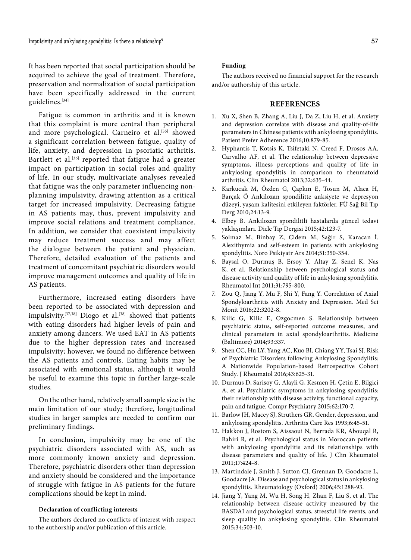It has been reported that social participation should be acquired to achieve the goal of treatment. Therefore, preservation and normalization of social participation have been specifically addressed in the current guidelines.[34]

Fatigue is common in arthritis and it is known that this complaint is more central than peripheral and more psychological. Carneiro et al.<sup>[35]</sup> showed a significant correlation between fatigue, quality of life, anxiety, and depression in psoriatic arthritis. Bartlett et al.<sup>[36]</sup> reported that fatigue had a greater impact on participation in social roles and quality of life. In our study, multivariate analyses revealed that fatigue was the only parameter influencing nonplanning impulsivity, drawing attention as a critical target for increased impulsivity. Decreasing fatigue in AS patients may, thus, prevent impulsivity and improve social relations and treatment compliance. In addition, we consider that coexistent impulsivity may reduce treatment success and may affect the dialogue between the patient and physician. Therefore, detailed evaluation of the patients and treatment of concomitant psychiatric disorders would improve management outcomes and quality of life in AS patients.

Furthermore, increased eating disorders have been reported to be associated with depression and impulsivity.<sup>[37,38]</sup> Diogo et al.<sup>[38]</sup> showed that patients with eating disorders had higher levels of pain and anxiety among dancers. We used EAT in AS patients due to the higher depression rates and increased impulsivity; however, we found no difference between the AS patients and controls. Eating habits may be associated with emotional status, although it would be useful to examine this topic in further large-scale studies.

On the other hand, relatively small sample size is the main limitation of our study; therefore, longitudinal studies in larger samples are needed to confirm our preliminary findings.

In conclusion, impulsivity may be one of the psychiatric disorders associated with AS, such as more commonly known anxiety and depression. Therefore, psychiatric disorders other than depression and anxiety should be considered and the importance of struggle with fatigue in AS patients for the future complications should be kept in mind.

#### **Declaration of conflicting interests**

The authors declared no conflicts of interest with respect to the authorship and/or publication of this article.

#### **Funding**

The authors received no financial support for the research and/or authorship of this article.

### **REFERENCES**

- 1. Xu X, Shen B, Zhang A, Liu J, Da Z, Liu H, et al. Anxiety and depression correlate with disease and quality-of-life parameters in Chinese patients with ankylosing spondylitis. Patient Prefer Adherence 2016;10:879-85.
- 2. Hyphantis T, Kotsis K, Tsifetaki N, Creed F, Drosos AA, Carvalho AF, et al. The relationship between depressive symptoms, illness perceptions and quality of life in ankylosing spondylitis in comparison to rheumatoid arthritis. Clin Rheumatol 2013;32:635-44.
- 3. Karkucak M, Özden G, Çapkın E, Tosun M, Alaca H, Barçak Ö Ankilozan spondilitte anksiyete ve depresyon düzeyi, yaşam kalitesini etkileyen faktörler. FÜ Sağ Bil Tıp Derg 2010;24:13-9.
- 4. Elbey B. Ankilozan spondilitli hastalarda güncel tedavi yaklaşımları. Dicle Tıp Dergisi 2015;42:123-7.
- 5. Solmaz M, Binbay Z, Cidem M, Sağir S, Karacan İ. Alexithymia and self-esteem in patients with ankylosing spondylitis. Noro Psikiyatr Ars 2014;51:350-354.
- 6. Baysal O, Durmuş B, Ersoy Y, Altay Z, Senel K, Nas K, et al. Relationship between psychological status and disease activity and quality of life in ankylosing spondylitis. Rheumatol Int 2011;31:795-800.
- 7. Zou Q, Jiang Y, Mu F, Shi Y, Fang Y. Correlation of Axial Spondyloarthritis with Anxiety and Depression. Med Sci Monit 2016;22:3202-8.
- 8. Kilic G, Kilic E, Ozgocmen S. Relationship between psychiatric status, self-reported outcome measures, and clinical parameters in axial spondyloarthritis. Medicine (Baltimore) 2014;93:337.
- 9. Shen CC, Hu LY, Yang AC, Kuo BI, Chiang YY, Tsai SJ. Risk of Psychiatric Disorders following Ankylosing Spondylitis: A Nationwide Population-based Retrospective Cohort Study. J Rheumatol 2016;43:625-31.
- 10. Durmus D, Sarisoy G, Alayli G, Kesmen H, Çetin E, Bilgici A, et al. Psychiatric symptoms in ankylosing spondylitis: their relationship with disease activity, functional capacity, pain and fatigue. Compr Psychiatry 2015;62:170-7.
- 11. Barlow JH, Macey SJ, Struthers GR. Gender, depression, and ankylosing spondylitis. Arthritis Care Res 1993;6:45-51.
- 12. Hakkou J, Rostom S, Aissaoui N, Berrada KR, Abouqal R, Bahiri R, et al. Psychological status in Moroccan patients with ankylosing spondylitis and its relationships with disease parameters and quality of life. J Clin Rheumatol 2011;17:424-8.
- 13. Martindale J, Smith J, Sutton CJ, Grennan D, Goodacre L, Goodacre JA. Disease and psychological status in ankylosing spondylitis. Rheumatology (Oxford) 2006;45:1288-93.
- 14. Jiang Y, Yang M, Wu H, Song H, Zhan F, Liu S, et al. The relationship between disease activity measured by the BASDAI and psychological status, stressful life events, and sleep quality in ankylosing spondylitis. Clin Rheumatol 2015;34:503-10.